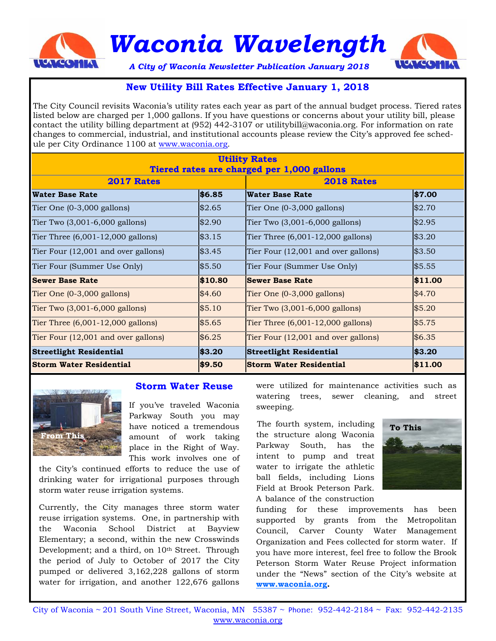

*Waconia Wavelength* 



*A City of Waconia Newsletter PublicationJanuary 2018* 

# **New Utility Bill Rates Effective January 1, 2018**

The City Council revisits Waconia's utility rates each year as part of the annual budget process. Tiered rates listed below are charged per 1,000 gallons. If you have questions or concerns about your utility bill, please contact the utility billing department at (952) 442-3107 or utilitybill@waconia.org. For information on rate changes to commercial, industrial, and institutional accounts please review the City's approved fee schedule per City Ordinance 1100 at www.waconia.org.

| <b>Utility Rates</b>                       |         |                                      |         |
|--------------------------------------------|---------|--------------------------------------|---------|
| Tiered rates are charged per 1,000 gallons |         |                                      |         |
| <b>2017 Rates</b>                          |         | <b>2018 Rates</b>                    |         |
| <b>Water Base Rate</b>                     | \$6.85  | Water Base Rate                      | \$7.00  |
| Tier One $(0-3,000)$ gallons)              | \$2.65  | Tier One $(0-3,000)$ gallons)        | \$2.70  |
| Tier Two (3,001-6,000 gallons)             | \$2.90  | Tier Two (3,001-6,000 gallons)       | \$2.95  |
| Tier Three $(6,001-12,000)$ gallons)       | \$3.15  | Tier Three $(6,001-12,000$ gallons)  | \$3.20  |
| Tier Four (12,001 and over gallons)        | \$3.45  | Tier Four (12,001 and over gallons)  | \$3.50  |
| Tier Four (Summer Use Only)                | \$5.50  | Tier Four (Summer Use Only)          | \$5.55  |
| <b>Sewer Base Rate</b>                     | \$10.80 | <b>Sewer Base Rate</b>               | \$11.00 |
| Tier One $(0-3,000)$ gallons)              | \$4.60  | Tier One (0-3,000 gallons)           | \$4.70  |
| Tier Two $(3,001-6,000)$ gallons)          | \$5.10  | Tier Two $(3,001-6,000)$ gallons)    | \$5.20  |
| Tier Three $(6,001-12,000)$ gallons)       | \$5.65  | Tier Three $(6,001-12,000)$ gallons) | \$5.75  |
| Tier Four $(12,001$ and over gallons)      | \$6.25  | Tier Four (12,001 and over gallons)  | \$6.35  |
| <b>Streetlight Residential</b>             | \$3.20  | <b>Streetlight Residential</b>       | \$3.20  |
| <b>Storm Water Residential</b>             | \$9.50  | Storm Water Residential              | \$11.00 |



#### **Storm Water Reuse**

If you've traveled Waconia Parkway South you may have noticed a tremendous amount of work taking place in the Right of Way. This work involves one of

the City's continued efforts to reduce the use of drinking water for irrigational purposes through storm water reuse irrigation systems.

Currently, the City manages three storm water reuse irrigation systems. One, in partnership with the Waconia School District at Bayview Elementary; a second, within the new Crosswinds Development; and a third, on 10<sup>th</sup> Street. Through the period of July to October of 2017 the City pumped or delivered 3,162,228 gallons of storm water for irrigation, and another 122,676 gallons were utilized for maintenance activities such as watering trees, sewer cleaning, and street sweeping.

 The fourth system, including the structure along Waconia Parkway South, has the intent to pump and treat water to irrigate the athletic ball fields, including Lions Field at Brook Peterson Park. A balance of the construction



funding for these improvements has been supported by grants from the Metropolitan Council, Carver County Water Management Organization and Fees collected for storm water. If you have more interest, feel free to follow the Brook Peterson Storm Water Reuse Project information under the "News" section of the City's website at **www.waconia.org.**